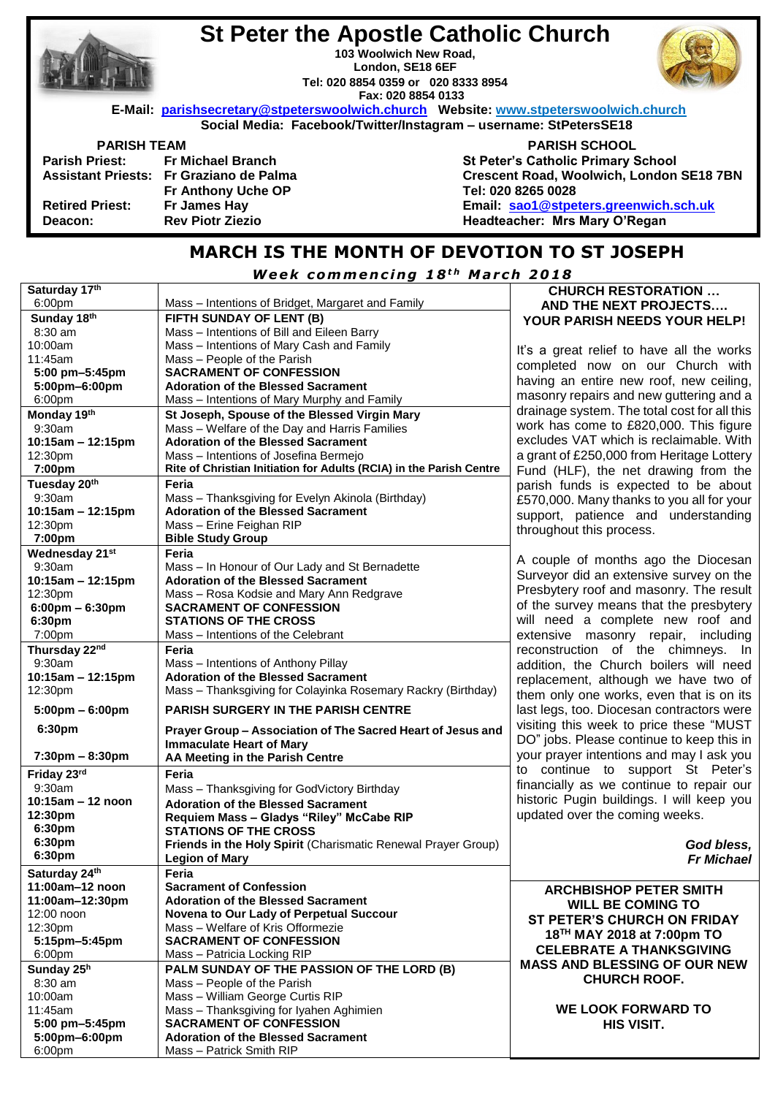|                                                                   | <b>St Peter the Apostle Catholic Church</b><br>103 Woolwich New Road,<br>London, SE18 6EF<br>Tel: 020 8854 0359 or 020 8333 8954<br>Fax: 020 8854 0133 |                                           |  |  |
|-------------------------------------------------------------------|--------------------------------------------------------------------------------------------------------------------------------------------------------|-------------------------------------------|--|--|
|                                                                   | E-Mail: parishsecretary@stpeterswoolwich.church Website: www.stpeterswoolwich.church                                                                   |                                           |  |  |
| Social Media: Facebook/Twitter/Instagram - username: StPetersSE18 |                                                                                                                                                        |                                           |  |  |
| <b>PARISH TEAM</b>                                                |                                                                                                                                                        | <b>PARISH SCHOOL</b>                      |  |  |
|                                                                   | Parish Priest: Fr Michael Branch                                                                                                                       | <b>St Peter's Catholic Primary School</b> |  |  |
|                                                                   | Assistant Priests: Fr Graziano de Palma                                                                                                                | Crescent Road, Woolwich, London SE18 7BN  |  |  |
|                                                                   | Fr Anthony Uche OP                                                                                                                                     | Tel: 020 8265 0028                        |  |  |
| <b>Retired Priest:</b>                                            | Fr James Hay                                                                                                                                           | Email: sao1@stpeters.greenwich.sch.uk     |  |  |
| Deacon:                                                           | <b>Rev Piotr Ziezio</b>                                                                                                                                | Headteacher: Mrs Mary O'Regan             |  |  |
|                                                                   |                                                                                                                                                        |                                           |  |  |

# **MARCH IS THE MONTH OF DEVOTION TO ST JOSEPH**

*<u>Week commencing 18<sup>th</sup> March 2018</u>* 

| Saturday 17th                     |                                                                     | <b>CHURCH RESTORATION </b>                   |
|-----------------------------------|---------------------------------------------------------------------|----------------------------------------------|
| 6:00 <sub>pm</sub>                | Mass - Intentions of Bridget, Margaret and Family                   | AND THE NEXT PROJECTS                        |
| Sunday 18th                       | FIFTH SUNDAY OF LENT (B)                                            | YOUR PARISH NEEDS YOUR HELP!                 |
| 8:30 am                           | Mass - Intentions of Bill and Eileen Barry                          |                                              |
| 10:00am                           | Mass - Intentions of Mary Cash and Family                           |                                              |
| 11:45am                           | Mass - People of the Parish                                         | It's a great relief to have all the works    |
| 5:00 pm-5:45pm                    | <b>SACRAMENT OF CONFESSION</b>                                      | completed now on our Church with             |
| 5:00pm-6:00pm                     | <b>Adoration of the Blessed Sacrament</b>                           | having an entire new roof, new ceiling,      |
| 6:00pm                            | Mass – Intentions of Mary Murphy and Family                         | masonry repairs and new guttering and a      |
| Monday 19th                       | St Joseph, Spouse of the Blessed Virgin Mary                        | drainage system. The total cost for all this |
| 9:30am                            | Mass - Welfare of the Day and Harris Families                       | work has come to £820,000. This figure       |
| $10:15am - 12:15pm$               | <b>Adoration of the Blessed Sacrament</b>                           | excludes VAT which is reclaimable. With      |
| 12:30pm                           | Mass - Intentions of Josefina Bermejo                               | a grant of £250,000 from Heritage Lottery    |
| 7:00pm                            | Rite of Christian Initiation for Adults (RCIA) in the Parish Centre |                                              |
|                                   |                                                                     | Fund (HLF), the net drawing from the         |
| Tuesday 20th                      | Feria                                                               | parish funds is expected to be about         |
| 9:30am                            | Mass - Thanksgiving for Evelyn Akinola (Birthday)                   | £570,000. Many thanks to you all for your    |
| $10:15am - 12:15pm$               | <b>Adoration of the Blessed Sacrament</b>                           | support, patience and understanding          |
| 12:30pm                           | Mass - Erine Feighan RIP                                            | throughout this process.                     |
| 7:00pm                            | <b>Bible Study Group</b>                                            |                                              |
| Wednesday 21st                    | Feria                                                               | A couple of months ago the Diocesan          |
| 9:30am                            | Mass - In Honour of Our Lady and St Bernadette                      |                                              |
| 10:15am - 12:15pm                 | <b>Adoration of the Blessed Sacrament</b>                           | Surveyor did an extensive survey on the      |
| 12:30pm                           | Mass - Rosa Kodsie and Mary Ann Redgrave                            | Presbytery roof and masonry. The result      |
| $6:00 \text{pm} - 6:30 \text{pm}$ | <b>SACRAMENT OF CONFESSION</b>                                      | of the survey means that the presbytery      |
| 6:30pm                            | <b>STATIONS OF THE CROSS</b>                                        | will need a complete new roof and            |
| 7:00pm                            | Mass - Intentions of the Celebrant                                  | extensive masonry repair, including          |
| Thursday 22nd                     | Feria                                                               | reconstruction of the chimneys. In           |
| 9:30am                            | Mass - Intentions of Anthony Pillay                                 | addition, the Church boilers will need       |
| $10:15am - 12:15pm$               | <b>Adoration of the Blessed Sacrament</b>                           | replacement, although we have two of         |
| 12:30pm                           | Mass - Thanksgiving for Colayinka Rosemary Rackry (Birthday)        |                                              |
|                                   |                                                                     | them only one works, even that is on its     |
| $5:00 \text{pm} - 6:00 \text{pm}$ | <b>PARISH SURGERY IN THE PARISH CENTRE</b>                          | last legs, too. Diocesan contractors were    |
| 6:30pm                            | Prayer Group - Association of The Sacred Heart of Jesus and         | visiting this week to price these "MUST      |
|                                   | <b>Immaculate Heart of Mary</b>                                     | DO" jobs. Please continue to keep this in    |
| $7:30 \text{pm} - 8:30 \text{pm}$ | AA Meeting in the Parish Centre                                     | your prayer intentions and may I ask you     |
| Friday 23rd                       | Feria                                                               | to continue to support St Peter's            |
| 9:30am                            |                                                                     | financially as we continue to repair our     |
| 10:15am - 12 noon                 | Mass - Thanksgiving for GodVictory Birthday                         | historic Pugin buildings. I will keep you    |
| 12:30pm                           | <b>Adoration of the Blessed Sacrament</b>                           | updated over the coming weeks.               |
|                                   | Requiem Mass - Gladys "Riley" McCabe RIP                            |                                              |
| 6:30pm<br>6:30pm                  | <b>STATIONS OF THE CROSS</b>                                        |                                              |
|                                   | Friends in the Holy Spirit (Charismatic Renewal Prayer Group)       | God bless,                                   |
| 6:30pm                            | <b>Legion of Mary</b>                                               | <b>Fr Michael</b>                            |
| Saturday 24th                     | Feria                                                               |                                              |
| 11:00am-12 noon                   | <b>Sacrament of Confession</b>                                      | <b>ARCHBISHOP PETER SMITH</b>                |
| 11:00am-12:30pm                   | <b>Adoration of the Blessed Sacrament</b>                           | <b>WILL BE COMING TO</b>                     |
| 12:00 noon                        | Novena to Our Lady of Perpetual Succour                             | ST PETER'S CHURCH ON FRIDAY                  |
| 12:30pm                           | Mass - Welfare of Kris Offormezie                                   | 18 <sup>TH</sup> MAY 2018 at 7:00pm TO       |
| 5:15pm-5:45pm                     | <b>SACRAMENT OF CONFESSION</b>                                      |                                              |
| 6:00pm                            | Mass - Patricia Locking RIP                                         | <b>CELEBRATE A THANKSGIVING</b>              |
| Sunday 25h                        | PALM SUNDAY OF THE PASSION OF THE LORD (B)                          | <b>MASS AND BLESSING OF OUR NEW</b>          |
| 8:30 am                           | Mass - People of the Parish                                         | <b>CHURCH ROOF.</b>                          |
| 10:00am                           | Mass - William George Curtis RIP                                    |                                              |
| 11:45am                           | Mass - Thanksgiving for Iyahen Aghimien                             | <b>WE LOOK FORWARD TO</b>                    |
| 5:00 pm-5:45pm                    | <b>SACRAMENT OF CONFESSION</b>                                      | <b>HIS VISIT.</b>                            |
| 5:00pm-6:00pm                     | <b>Adoration of the Blessed Sacrament</b>                           |                                              |
|                                   |                                                                     |                                              |
| 6:00pm                            | Mass - Patrick Smith RIP                                            |                                              |